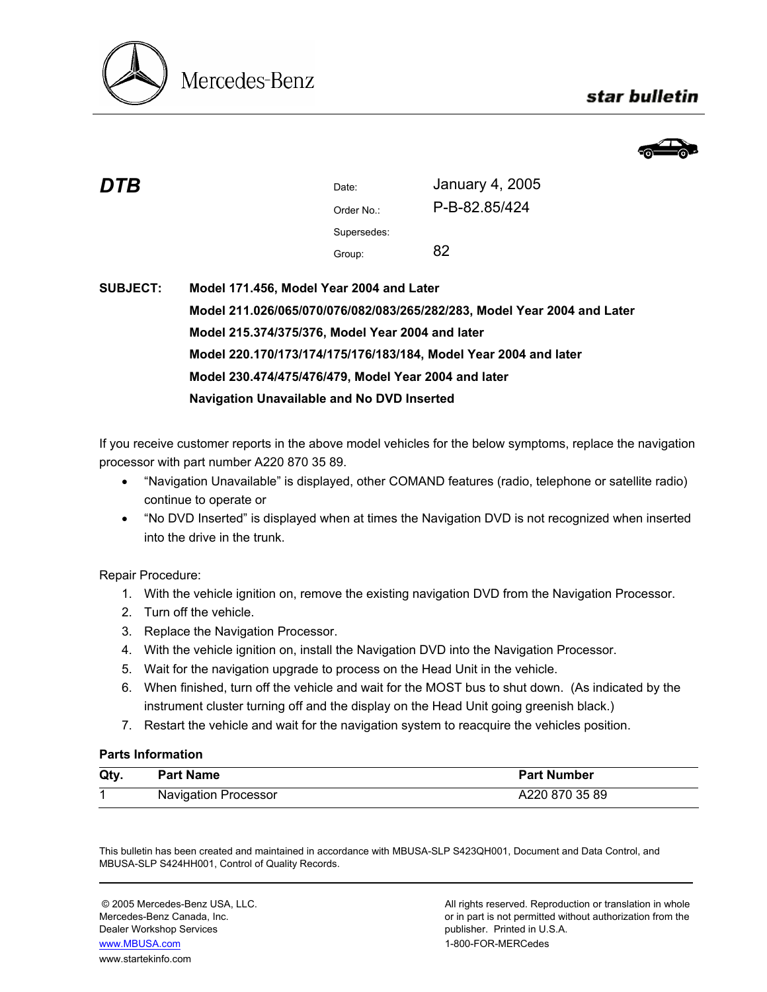

## star bulletin



| DTB | Date:       | January 4, 2005 |
|-----|-------------|-----------------|
|     | Order No.:  | P-B-82.85/424   |
|     | Supersedes: |                 |
|     | Group:      | 82              |
|     |             |                 |

# **SUBJECT: Model 171.456, Model Year 2004 and Later Model 211.026/065/070/076/082/083/265/282/283, Model Year 2004 and Later Model 215.374/375/376, Model Year 2004 and later Model 220.170/173/174/175/176/183/184, Model Year 2004 and later Model 230.474/475/476/479, Model Year 2004 and later Navigation Unavailable and No DVD Inserted**

If you receive customer reports in the above model vehicles for the below symptoms, replace the navigation processor with part number A220 870 35 89.

- "Navigation Unavailable" is displayed, other COMAND features (radio, telephone or satellite radio) continue to operate or
- "No DVD Inserted" is displayed when at times the Navigation DVD is not recognized when inserted into the drive in the trunk.

Repair Procedure:

- 1. With the vehicle ignition on, remove the existing navigation DVD from the Navigation Processor.
- 2. Turn off the vehicle.
- 3. Replace the Navigation Processor.
- 4. With the vehicle ignition on, install the Navigation DVD into the Navigation Processor.
- 5. Wait for the navigation upgrade to process on the Head Unit in the vehicle.
- 6. When finished, turn off the vehicle and wait for the MOST bus to shut down. (As indicated by the instrument cluster turning off and the display on the Head Unit going greenish black.)
- 7. Restart the vehicle and wait for the navigation system to reacquire the vehicles position.

#### **Parts Information**

| Qty | <b>Part Name</b>            | <b>Part Number</b> |
|-----|-----------------------------|--------------------|
|     | <b>Navigation Processor</b> | A220 870 35 89     |

This bulletin has been created and maintained in accordance with MBUSA-SLP S423QH001, Document and Data Control, and MBUSA-SLP S424HH001, Control of Quality Records.

Dealer Workshop Services publisher. Printed in U.S.A. www.MBUSA.com 1-800-FOR-MERCedes www.startekinfo.com

© 2005 Mercedes-Benz USA, LLC. All rights reserved. Reproduction or translation in whole Mercedes-Benz Canada, Inc. **or in part is not permitted without authorization from the** or in part is not permitted without authorization from the